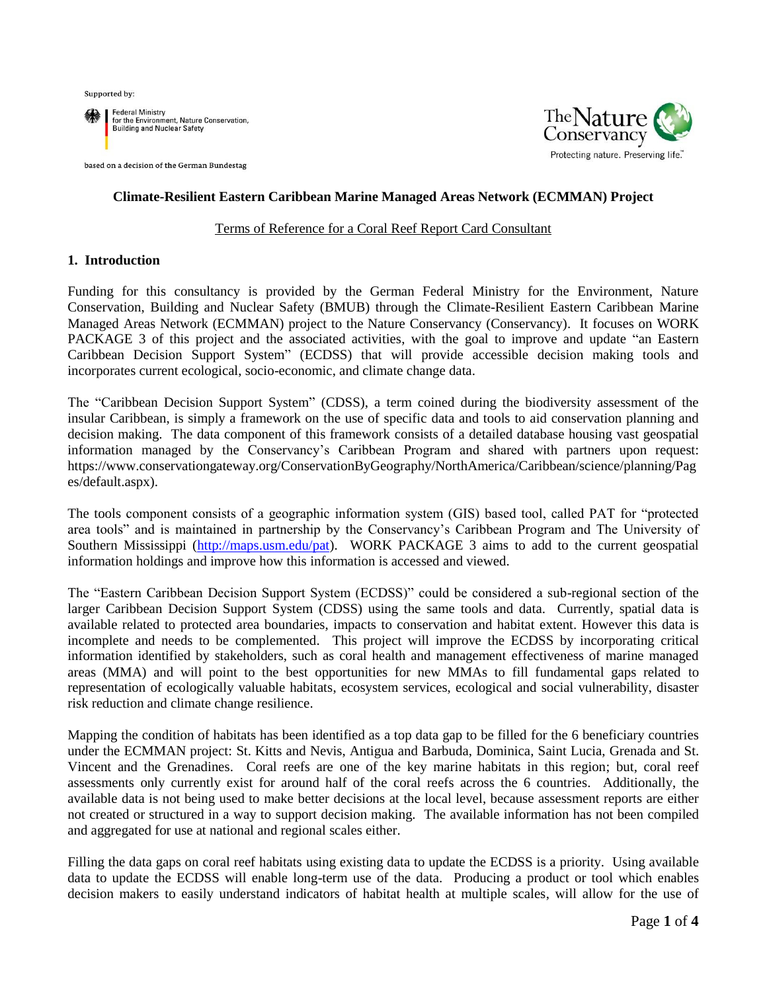Supported by:



based on a decision of the German Bundestag



### **Climate-Resilient Eastern Caribbean Marine Managed Areas Network (ECMMAN) Project**

#### Terms of Reference for a Coral Reef Report Card Consultant

#### **1. Introduction**

Funding for this consultancy is provided by the German Federal Ministry for the Environment, Nature Conservation, Building and Nuclear Safety (BMUB) through the Climate-Resilient Eastern Caribbean Marine Managed Areas Network (ECMMAN) project to the Nature Conservancy (Conservancy). It focuses on WORK PACKAGE 3 of this project and the associated activities, with the goal to improve and update "an Eastern Caribbean Decision Support System" (ECDSS) that will provide accessible decision making tools and incorporates current ecological, socio-economic, and climate change data.

The "Caribbean Decision Support System" (CDSS), a term coined during the biodiversity assessment of the insular Caribbean, is simply a framework on the use of specific data and tools to aid conservation planning and decision making. The data component of this framework consists of a detailed database housing vast geospatial information managed by the Conservancy's Caribbean Program and shared with partners upon request: https://www.conservationgateway.org/ConservationByGeography/NorthAmerica/Caribbean/science/planning/Pag es/default.aspx).

The tools component consists of a geographic information system (GIS) based tool, called PAT for "protected area tools" and is maintained in partnership by the Conservancy's Caribbean Program and The University of Southern Mississippi [\(http://maps.usm.edu/pat\)](http://maps.usm.edu/pat). WORK PACKAGE 3 aims to add to the current geospatial information holdings and improve how this information is accessed and viewed.

The "Eastern Caribbean Decision Support System (ECDSS)" could be considered a sub-regional section of the larger Caribbean Decision Support System (CDSS) using the same tools and data. Currently, spatial data is available related to protected area boundaries, impacts to conservation and habitat extent. However this data is incomplete and needs to be complemented. This project will improve the ECDSS by incorporating critical information identified by stakeholders, such as coral health and management effectiveness of marine managed areas (MMA) and will point to the best opportunities for new MMAs to fill fundamental gaps related to representation of ecologically valuable habitats, ecosystem services, ecological and social vulnerability, disaster risk reduction and climate change resilience.

Mapping the condition of habitats has been identified as a top data gap to be filled for the 6 beneficiary countries under the ECMMAN project: St. Kitts and Nevis, Antigua and Barbuda, Dominica, Saint Lucia, Grenada and St. Vincent and the Grenadines. Coral reefs are one of the key marine habitats in this region; but, coral reef assessments only currently exist for around half of the coral reefs across the 6 countries. Additionally, the available data is not being used to make better decisions at the local level, because assessment reports are either not created or structured in a way to support decision making. The available information has not been compiled and aggregated for use at national and regional scales either.

Filling the data gaps on coral reef habitats using existing data to update the ECDSS is a priority. Using available data to update the ECDSS will enable long-term use of the data. Producing a product or tool which enables decision makers to easily understand indicators of habitat health at multiple scales, will allow for the use of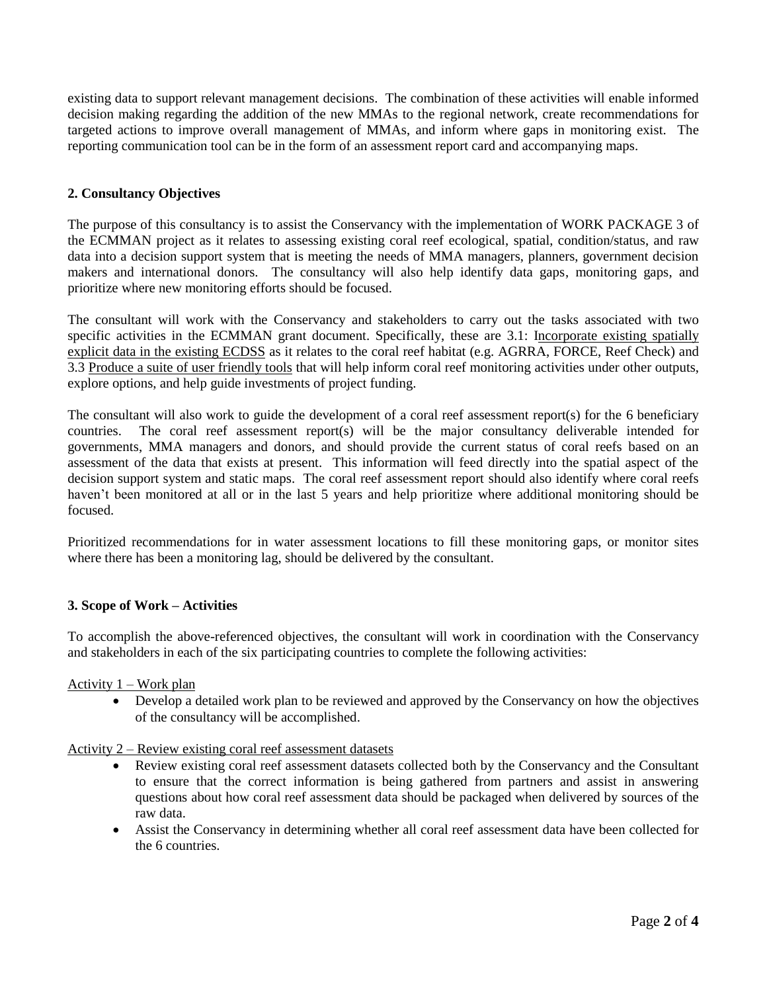existing data to support relevant management decisions. The combination of these activities will enable informed decision making regarding the addition of the new MMAs to the regional network, create recommendations for targeted actions to improve overall management of MMAs, and inform where gaps in monitoring exist. The reporting communication tool can be in the form of an assessment report card and accompanying maps.

## **2. Consultancy Objectives**

The purpose of this consultancy is to assist the Conservancy with the implementation of WORK PACKAGE 3 of the ECMMAN project as it relates to assessing existing coral reef ecological, spatial, condition/status, and raw data into a decision support system that is meeting the needs of MMA managers, planners, government decision makers and international donors. The consultancy will also help identify data gaps, monitoring gaps, and prioritize where new monitoring efforts should be focused.

The consultant will work with the Conservancy and stakeholders to carry out the tasks associated with two specific activities in the ECMMAN grant document. Specifically, these are 3.1: Incorporate existing spatially explicit data in the existing ECDSS as it relates to the coral reef habitat (e.g. AGRRA, FORCE, Reef Check) and 3.3 Produce a suite of user friendly tools that will help inform coral reef monitoring activities under other outputs, explore options, and help guide investments of project funding.

The consultant will also work to guide the development of a coral reef assessment report(s) for the 6 beneficiary countries. The coral reef assessment report(s) will be the major consultancy deliverable intended for governments, MMA managers and donors, and should provide the current status of coral reefs based on an assessment of the data that exists at present. This information will feed directly into the spatial aspect of the decision support system and static maps. The coral reef assessment report should also identify where coral reefs haven't been monitored at all or in the last 5 years and help prioritize where additional monitoring should be focused.

Prioritized recommendations for in water assessment locations to fill these monitoring gaps, or monitor sites where there has been a monitoring lag, should be delivered by the consultant.

## **3. Scope of Work – Activities**

To accomplish the above-referenced objectives, the consultant will work in coordination with the Conservancy and stakeholders in each of the six participating countries to complete the following activities:

#### Activity 1 – Work plan

 Develop a detailed work plan to be reviewed and approved by the Conservancy on how the objectives of the consultancy will be accomplished.

#### Activity 2 – Review existing coral reef assessment datasets

- Review existing coral reef assessment datasets collected both by the Conservancy and the Consultant to ensure that the correct information is being gathered from partners and assist in answering questions about how coral reef assessment data should be packaged when delivered by sources of the raw data.
- Assist the Conservancy in determining whether all coral reef assessment data have been collected for the 6 countries.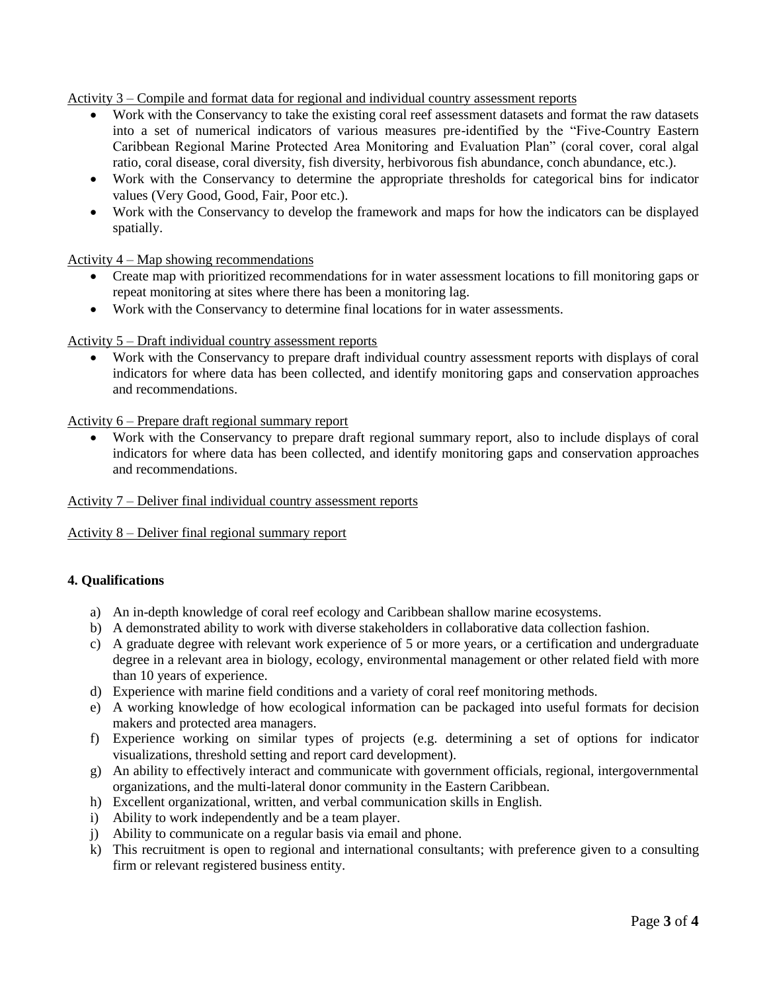Activity 3 – Compile and format data for regional and individual country assessment reports

- Work with the Conservancy to take the existing coral reef assessment datasets and format the raw datasets into a set of numerical indicators of various measures pre-identified by the "Five-Country Eastern Caribbean Regional Marine Protected Area Monitoring and Evaluation Plan" (coral cover, coral algal ratio, coral disease, coral diversity, fish diversity, herbivorous fish abundance, conch abundance, etc.).
- Work with the Conservancy to determine the appropriate thresholds for categorical bins for indicator values (Very Good, Good, Fair, Poor etc.).
- Work with the Conservancy to develop the framework and maps for how the indicators can be displayed spatially.

Activity 4 – Map showing recommendations

- Create map with prioritized recommendations for in water assessment locations to fill monitoring gaps or repeat monitoring at sites where there has been a monitoring lag.
- Work with the Conservancy to determine final locations for in water assessments.

Activity 5 – Draft individual country assessment reports

 Work with the Conservancy to prepare draft individual country assessment reports with displays of coral indicators for where data has been collected, and identify monitoring gaps and conservation approaches and recommendations.

Activity 6 – Prepare draft regional summary report

 Work with the Conservancy to prepare draft regional summary report, also to include displays of coral indicators for where data has been collected, and identify monitoring gaps and conservation approaches and recommendations.

Activity 7 – Deliver final individual country assessment reports

Activity 8 – Deliver final regional summary report

## **4. Qualifications**

- a) An in-depth knowledge of coral reef ecology and Caribbean shallow marine ecosystems.
- b) A demonstrated ability to work with diverse stakeholders in collaborative data collection fashion.
- c) A graduate degree with relevant work experience of 5 or more years, or a certification and undergraduate degree in a relevant area in biology, ecology, environmental management or other related field with more than 10 years of experience.
- d) Experience with marine field conditions and a variety of coral reef monitoring methods.
- e) A working knowledge of how ecological information can be packaged into useful formats for decision makers and protected area managers.
- f) Experience working on similar types of projects (e.g. determining a set of options for indicator visualizations, threshold setting and report card development).
- g) An ability to effectively interact and communicate with government officials, regional, intergovernmental organizations, and the multi-lateral donor community in the Eastern Caribbean.
- h) Excellent organizational, written, and verbal communication skills in English.
- i) Ability to work independently and be a team player.
- j) Ability to communicate on a regular basis via email and phone.
- k) This recruitment is open to regional and international consultants; with preference given to a consulting firm or relevant registered business entity.